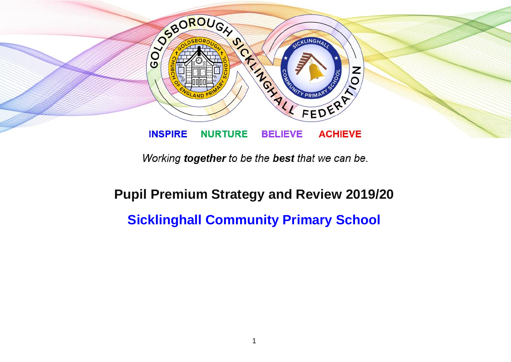

Working together to be the best that we can be.

## **Pupil Premium Strategy and Review 2019/20 Sicklinghall Community Primary School**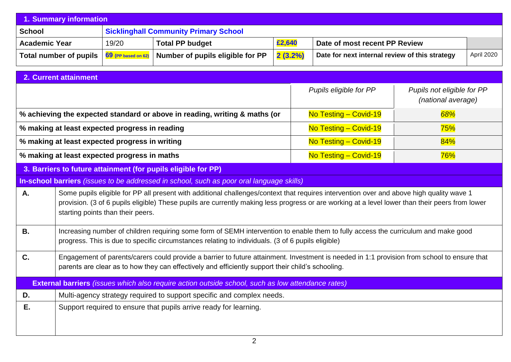| 1. Summary information                                                                                                                                                                                                                                 |                                                                                                                                                                                                                                                                                                                                  |                                                |                                                                                          |         |  |                                                |                                                  |            |  |
|--------------------------------------------------------------------------------------------------------------------------------------------------------------------------------------------------------------------------------------------------------|----------------------------------------------------------------------------------------------------------------------------------------------------------------------------------------------------------------------------------------------------------------------------------------------------------------------------------|------------------------------------------------|------------------------------------------------------------------------------------------|---------|--|------------------------------------------------|--------------------------------------------------|------------|--|
| <b>School</b>                                                                                                                                                                                                                                          |                                                                                                                                                                                                                                                                                                                                  | <b>Sicklinghall Community Primary School</b>   |                                                                                          |         |  |                                                |                                                  |            |  |
| <b>Academic Year</b>                                                                                                                                                                                                                                   |                                                                                                                                                                                                                                                                                                                                  | 19/20                                          | <b>Total PP budget</b>                                                                   | £2,640  |  | Date of most recent PP Review                  |                                                  |            |  |
|                                                                                                                                                                                                                                                        | <b>Total number of pupils</b>                                                                                                                                                                                                                                                                                                    | 69 (PP based on 62)                            | Number of pupils eligible for PP                                                         | 2(3.2%) |  | Date for next internal review of this strategy |                                                  | April 2020 |  |
|                                                                                                                                                                                                                                                        |                                                                                                                                                                                                                                                                                                                                  |                                                |                                                                                          |         |  |                                                |                                                  |            |  |
|                                                                                                                                                                                                                                                        | 2. Current attainment                                                                                                                                                                                                                                                                                                            |                                                |                                                                                          |         |  |                                                |                                                  |            |  |
|                                                                                                                                                                                                                                                        |                                                                                                                                                                                                                                                                                                                                  |                                                |                                                                                          |         |  | Pupils eligible for PP                         | Pupils not eligible for PP<br>(national average) |            |  |
|                                                                                                                                                                                                                                                        |                                                                                                                                                                                                                                                                                                                                  |                                                | % achieving the expected standard or above in reading, writing & maths (or               |         |  | No Testing - Covid-19                          | 68%                                              |            |  |
|                                                                                                                                                                                                                                                        |                                                                                                                                                                                                                                                                                                                                  | % making at least expected progress in reading |                                                                                          |         |  | No Testing - Covid-19                          | 75%                                              |            |  |
|                                                                                                                                                                                                                                                        |                                                                                                                                                                                                                                                                                                                                  | % making at least expected progress in writing |                                                                                          |         |  | No Testing - Covid-19                          | 84%                                              |            |  |
|                                                                                                                                                                                                                                                        |                                                                                                                                                                                                                                                                                                                                  | % making at least expected progress in maths   |                                                                                          |         |  | No Testing - Covid-19                          | 76%                                              |            |  |
|                                                                                                                                                                                                                                                        |                                                                                                                                                                                                                                                                                                                                  |                                                | 3. Barriers to future attainment (for pupils eligible for PP)                            |         |  |                                                |                                                  |            |  |
|                                                                                                                                                                                                                                                        |                                                                                                                                                                                                                                                                                                                                  |                                                | In-school barriers (issues to be addressed in school, such as poor oral language skills) |         |  |                                                |                                                  |            |  |
| Α.                                                                                                                                                                                                                                                     | Some pupils eligible for PP all present with additional challenges/context that requires intervention over and above high quality wave 1<br>provision. (3 of 6 pupils eligible) These pupils are currently making less progress or are working at a level lower than their peers from lower<br>starting points than their peers. |                                                |                                                                                          |         |  |                                                |                                                  |            |  |
| <b>B.</b>                                                                                                                                                                                                                                              | Increasing number of children requiring some form of SEMH intervention to enable them to fully access the curriculum and make good<br>progress. This is due to specific circumstances relating to individuals. (3 of 6 pupils eligible)                                                                                          |                                                |                                                                                          |         |  |                                                |                                                  |            |  |
| C.<br>Engagement of parents/carers could provide a barrier to future attainment. Investment is needed in 1:1 provision from school to ensure that<br>parents are clear as to how they can effectively and efficiently support their child's schooling. |                                                                                                                                                                                                                                                                                                                                  |                                                |                                                                                          |         |  |                                                |                                                  |            |  |
| <b>External barriers</b> <i>(issues which also require action outside school, such as low attendance rates)</i>                                                                                                                                        |                                                                                                                                                                                                                                                                                                                                  |                                                |                                                                                          |         |  |                                                |                                                  |            |  |
| D.                                                                                                                                                                                                                                                     | Multi-agency strategy required to support specific and complex needs.                                                                                                                                                                                                                                                            |                                                |                                                                                          |         |  |                                                |                                                  |            |  |
| Ε.                                                                                                                                                                                                                                                     | Support required to ensure that pupils arrive ready for learning.                                                                                                                                                                                                                                                                |                                                |                                                                                          |         |  |                                                |                                                  |            |  |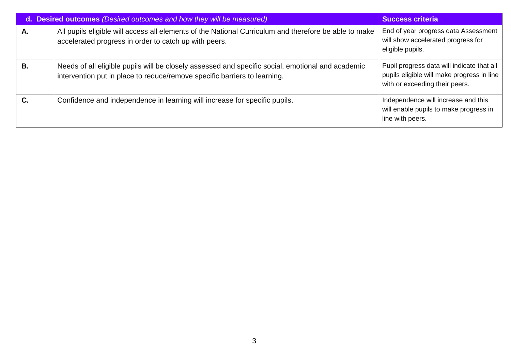|    | d. Desired outcomes (Desired outcomes and how they will be measured)                                                                                                           | <b>Success criteria</b>                                                                                                    |
|----|--------------------------------------------------------------------------------------------------------------------------------------------------------------------------------|----------------------------------------------------------------------------------------------------------------------------|
| А. | All pupils eligible will access all elements of the National Curriculum and therefore be able to make<br>accelerated progress in order to catch up with peers.                 | End of year progress data Assessment<br>will show accelerated progress for<br>eligible pupils.                             |
| В. | Needs of all eligible pupils will be closely assessed and specific social, emotional and academic<br>intervention put in place to reduce/remove specific barriers to learning. | Pupil progress data will indicate that all<br>pupils eligible will make progress in line<br>with or exceeding their peers. |
|    | Confidence and independence in learning will increase for specific pupils.                                                                                                     | Independence will increase and this<br>will enable pupils to make progress in<br>line with peers.                          |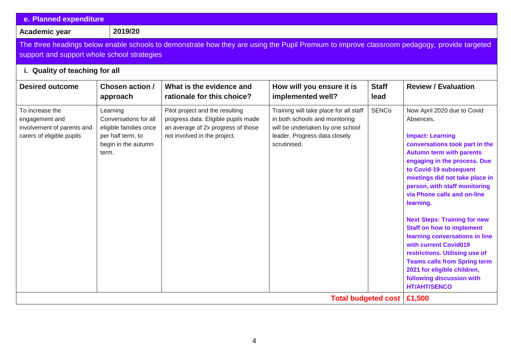| e. Planned expenditure                                                                                                                                                                                                       |                                                                                                                  |                                                                                                                                              |                                                                                                                                                               |                      |                                                                                                                                                                                                                                                                                                                                                                                                                                                                                                                                                                                                                     |  |  |
|------------------------------------------------------------------------------------------------------------------------------------------------------------------------------------------------------------------------------|------------------------------------------------------------------------------------------------------------------|----------------------------------------------------------------------------------------------------------------------------------------------|---------------------------------------------------------------------------------------------------------------------------------------------------------------|----------------------|---------------------------------------------------------------------------------------------------------------------------------------------------------------------------------------------------------------------------------------------------------------------------------------------------------------------------------------------------------------------------------------------------------------------------------------------------------------------------------------------------------------------------------------------------------------------------------------------------------------------|--|--|
| Academic year                                                                                                                                                                                                                | 2019/20                                                                                                          |                                                                                                                                              |                                                                                                                                                               |                      |                                                                                                                                                                                                                                                                                                                                                                                                                                                                                                                                                                                                                     |  |  |
| The three headings below enable schools to demonstrate how they are using the Pupil Premium to improve classroom pedagogy, provide targeted<br>support and support whole school strategies<br>i. Quality of teaching for all |                                                                                                                  |                                                                                                                                              |                                                                                                                                                               |                      |                                                                                                                                                                                                                                                                                                                                                                                                                                                                                                                                                                                                                     |  |  |
| <b>Desired outcome</b>                                                                                                                                                                                                       | Chosen action /<br>approach                                                                                      | What is the evidence and<br>rationale for this choice?                                                                                       | How will you ensure it is<br>implemented well?                                                                                                                | <b>Staff</b><br>lead | <b>Review / Evaluation</b>                                                                                                                                                                                                                                                                                                                                                                                                                                                                                                                                                                                          |  |  |
| To increase the<br>engagement and<br>involvement of parents and<br>carers of eligible pupils                                                                                                                                 | Learning<br>Conversations for all<br>eligible families once<br>per half term, to<br>begin in the autumn<br>term. | Pilot project and the resulting<br>progress data. Eligible pupils made<br>an average of 2x progress of those<br>not involved in the project. | Training will take place for all staff<br>in both schools and monitoring<br>will be undertaken by one school<br>leader. Progress data closely<br>scrutinised. | <b>SENCo</b>         | Now April 2020 due to Covid<br>Absences.<br><b>Impact: Learning</b><br>conversations took part in the<br><b>Autumn term with parents</b><br>engaging in the process. Due<br>to Covid-19 subsequent<br>meetings did not take place in<br>person, with staff monitoring<br>via Phone calls and on-line<br>learning.<br><b>Next Steps: Training for new</b><br><b>Staff on how to implement</b><br>learning conversations in line<br>with current Covid019<br>restrictions. Utilising use of<br><b>Teams calls from Spring term</b><br>2021 for eligible children,<br>following discussion with<br><b>HT/AHT/SENCO</b> |  |  |
|                                                                                                                                                                                                                              |                                                                                                                  |                                                                                                                                              | <b>Total budgeted cost</b>                                                                                                                                    |                      | £1,500                                                                                                                                                                                                                                                                                                                                                                                                                                                                                                                                                                                                              |  |  |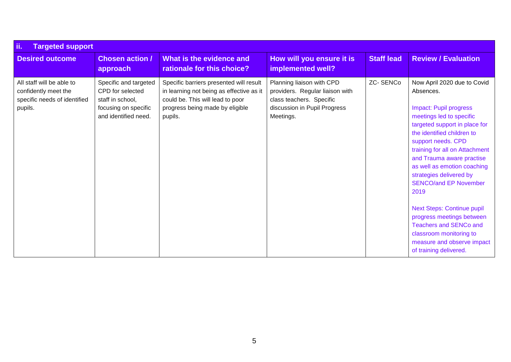| ii.<br><b>Targeted support</b>                                                               |                                                                                                               |                                                                                                                                                                       |                                                                                                                                       |                   |                                                                                                                                                                                                                                                                                                                                                                                                                                                                                                                                            |  |  |
|----------------------------------------------------------------------------------------------|---------------------------------------------------------------------------------------------------------------|-----------------------------------------------------------------------------------------------------------------------------------------------------------------------|---------------------------------------------------------------------------------------------------------------------------------------|-------------------|--------------------------------------------------------------------------------------------------------------------------------------------------------------------------------------------------------------------------------------------------------------------------------------------------------------------------------------------------------------------------------------------------------------------------------------------------------------------------------------------------------------------------------------------|--|--|
| <b>Desired outcome</b>                                                                       | <b>Chosen action /</b><br>approach                                                                            | What is the evidence and<br>rationale for this choice?                                                                                                                | How will you ensure it is<br>implemented well?                                                                                        | <b>Staff lead</b> | <b>Review / Evaluation</b>                                                                                                                                                                                                                                                                                                                                                                                                                                                                                                                 |  |  |
| All staff will be able to<br>confidently meet the<br>specific needs of identified<br>pupils. | Specific and targeted<br>CPD for selected<br>staff in school,<br>focusing on specific<br>and identified need. | Specific barriers presented will result<br>in learning not being as effective as it<br>could be. This will lead to poor<br>progress being made by eligible<br>pupils. | Planning liaison with CPD<br>providers. Regular liaison with<br>class teachers. Specific<br>discussion in Pupil Progress<br>Meetings. | <b>ZC-SENCo</b>   | Now April 2020 due to Covid<br>Absences.<br>Impact: Pupil progress<br>meetings led to specific<br>targeted support in place for<br>the identified children to<br>support needs. CPD<br>training for all on Attachment<br>and Trauma aware practise<br>as well as emotion coaching<br>strategies delivered by<br><b>SENCO/and EP November</b><br>2019<br><b>Next Steps: Continue pupil</b><br>progress meetings between<br><b>Teachers and SENCo and</b><br>classroom monitoring to<br>measure and observe impact<br>of training delivered. |  |  |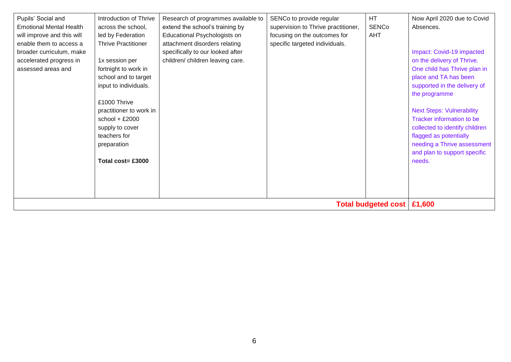| Pupils' Social and<br><b>Emotional Mental Health</b><br>will improve and this will<br>enable them to access a<br>broader curriculum, make<br>accelerated progress in<br>assessed areas and | Introduction of Thrive<br>across the school,<br>led by Federation<br><b>Thrive Practitioner</b><br>1x session per<br>fortnight to work in<br>school and to target<br>input to individuals.<br>£1000 Thrive<br>practitioner to work in<br>school + $£2000$<br>supply to cover<br>teachers for<br>preparation<br>Total $cost = £3000$ | Research of programmes available to<br>extend the school's training by<br>Educational Psychologists on<br>attachment disorders relating<br>specifically to our looked after<br>children/ children leaving care. | SENCo to provide regular<br>supervision to Thrive practitioner,<br>focusing on the outcomes for<br>specific targeted individuals. | <b>HT</b><br><b>SENCo</b><br><b>AHT</b> | Now April 2020 due to Covid<br>Absences.<br>Impact: Covid-19 impacted<br>on the delivery of Thrive.<br>One child has Thrive plan in<br>place and TA has been<br>supported in the delivery of<br>the programme<br><b>Next Steps: Vulnerability</b><br>Tracker information to be<br>collected to identify children<br>flagged as potentially<br>needing a Thrive assessment<br>and plan to support specific<br>needs. |
|--------------------------------------------------------------------------------------------------------------------------------------------------------------------------------------------|-------------------------------------------------------------------------------------------------------------------------------------------------------------------------------------------------------------------------------------------------------------------------------------------------------------------------------------|-----------------------------------------------------------------------------------------------------------------------------------------------------------------------------------------------------------------|-----------------------------------------------------------------------------------------------------------------------------------|-----------------------------------------|---------------------------------------------------------------------------------------------------------------------------------------------------------------------------------------------------------------------------------------------------------------------------------------------------------------------------------------------------------------------------------------------------------------------|
| <b>Total budgeted cost</b>                                                                                                                                                                 |                                                                                                                                                                                                                                                                                                                                     |                                                                                                                                                                                                                 |                                                                                                                                   |                                         | £1,600                                                                                                                                                                                                                                                                                                                                                                                                              |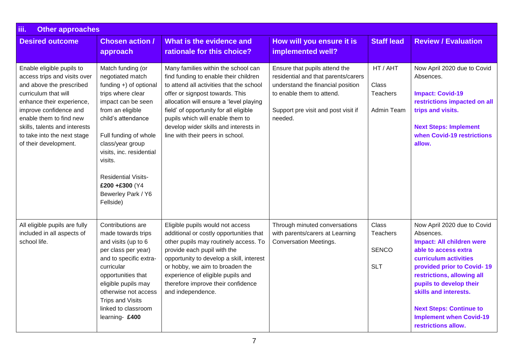| iii.<br><b>Other approaches</b>                                                                                                                                                                                                                                                          |                                                                                                                                                                                                                                                                                                                            |                                                                                                                                                                                                                                                                                                                                                                   |                                                                                                                                                                                          |                                                 |                                                                                                                                                                                                                                                                                                                                          |  |  |
|------------------------------------------------------------------------------------------------------------------------------------------------------------------------------------------------------------------------------------------------------------------------------------------|----------------------------------------------------------------------------------------------------------------------------------------------------------------------------------------------------------------------------------------------------------------------------------------------------------------------------|-------------------------------------------------------------------------------------------------------------------------------------------------------------------------------------------------------------------------------------------------------------------------------------------------------------------------------------------------------------------|------------------------------------------------------------------------------------------------------------------------------------------------------------------------------------------|-------------------------------------------------|------------------------------------------------------------------------------------------------------------------------------------------------------------------------------------------------------------------------------------------------------------------------------------------------------------------------------------------|--|--|
| <b>Desired outcome</b>                                                                                                                                                                                                                                                                   | <b>Chosen action /</b><br>approach                                                                                                                                                                                                                                                                                         | What is the evidence and<br>rationale for this choice?                                                                                                                                                                                                                                                                                                            | How will you ensure it is<br>implemented well?                                                                                                                                           | <b>Staff lead</b>                               | <b>Review / Evaluation</b>                                                                                                                                                                                                                                                                                                               |  |  |
| Enable eligible pupils to<br>access trips and visits over<br>and above the prescribed<br>curriculum that will<br>enhance their experience,<br>improve confidence and<br>enable them to find new<br>skills, talents and interests<br>to take into the next stage<br>of their development. | Match funding (or<br>negotiated match<br>funding +) of optional<br>trips where clear<br>impact can be seen<br>from an eligible<br>child's attendance<br>Full funding of whole<br>class/year group<br>visits, inc. residential<br>visits.<br><b>Residential Visits-</b><br>£200+£300 (Y4<br>Bewerley Park / Y6<br>Fellside) | Many families within the school can<br>find funding to enable their children<br>to attend all activities that the school<br>offer or signpost towards. This<br>allocation will ensure a 'level playing<br>field' of opportunity for all eligible<br>pupils which will enable them to<br>develop wider skills and interests in<br>line with their peers in school. | Ensure that pupils attend the<br>residential and that parents/carers<br>understand the financial position<br>to enable them to attend.<br>Support pre visit and post visit if<br>needed. | HT / AHT<br>Class<br>Teachers<br>Admin Team     | Now April 2020 due to Covid<br>Absences.<br><b>Impact: Covid-19</b><br>restrictions impacted on all<br>trips and visits.<br><b>Next Steps: Implement</b><br>when Covid-19 restrictions<br>allow.                                                                                                                                         |  |  |
| All eligible pupils are fully<br>included in all aspects of<br>school life.                                                                                                                                                                                                              | Contributions are<br>made towards trips<br>and visits (up to 6<br>per class per year)<br>and to specific extra-<br>curricular<br>opportunities that<br>eligible pupils may<br>otherwise not access<br><b>Trips and Visits</b><br>linked to classroom<br>learning- £400                                                     | Eligible pupils would not access<br>additional or costly opportunities that<br>other pupils may routinely access. To<br>provide each pupil with the<br>opportunity to develop a skill, interest<br>or hobby, we aim to broaden the<br>experience of eligible pupils and<br>therefore improve their confidence<br>and independence.                                | Through minuted conversations<br>with parents/carers at Learning<br><b>Conversation Meetings.</b>                                                                                        | Class<br>Teachers<br><b>SENCO</b><br><b>SLT</b> | Now April 2020 due to Covid<br>Absences.<br><b>Impact: All children were</b><br>able to access extra<br>curriculum activities<br>provided prior to Covid-19<br>restrictions, allowing all<br>pupils to develop their<br>skills and interests.<br><b>Next Steps: Continue to</b><br><b>Implement when Covid-19</b><br>restrictions allow. |  |  |